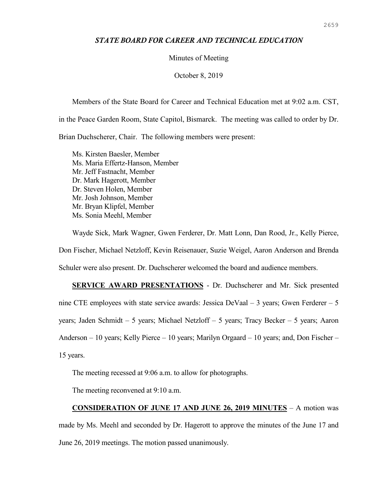## *STATE BOARD FOR CAREER AND TECHNICAL EDUCATION*

### Minutes of Meeting

### October 8, 2019

Members of the State Board for Career and Technical Education met at 9:02 a.m. CST, in the Peace Garden Room, State Capitol, Bismarck. The meeting was called to order by Dr. Brian Duchscherer, Chair. The following members were present:

Ms. Kirsten Baesler, Member Ms. Maria Effertz-Hanson, Member Mr. Jeff Fastnacht, Member Dr. Mark Hagerott, Member Dr. Steven Holen, Member Mr. Josh Johnson, Member Mr. Bryan Klipfel, Member Ms. Sonia Meehl, Member

Wayde Sick, Mark Wagner, Gwen Ferderer, Dr. Matt Lonn, Dan Rood, Jr., Kelly Pierce, Don Fischer, Michael Netzloff, Kevin Reisenauer, Suzie Weigel, Aaron Anderson and Brenda Schuler were also present. Dr. Duchscherer welcomed the board and audience members.

**SERVICE AWARD PRESENTATIONS** - Dr. Duchscherer and Mr. Sick presented nine CTE employees with state service awards: Jessica DeVaal – 3 years; Gwen Ferderer – 5 years; Jaden Schmidt – 5 years; Michael Netzloff – 5 years; Tracy Becker – 5 years; Aaron Anderson – 10 years; Kelly Pierce – 10 years; Marilyn Orgaard – 10 years; and, Don Fischer – 15 years.

The meeting recessed at 9:06 a.m. to allow for photographs.

The meeting reconvened at 9:10 a.m.

# **CONSIDERATION OF JUNE 17 AND JUNE 26, 2019 MINUTES** – A motion was

made by Ms. Meehl and seconded by Dr. Hagerott to approve the minutes of the June 17 and June 26, 2019 meetings. The motion passed unanimously.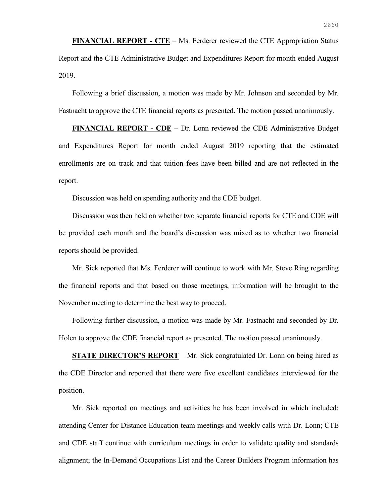**FINANCIAL REPORT - CTE** – Ms. Ferderer reviewed the CTE Appropriation Status Report and the CTE Administrative Budget and Expenditures Report for month ended August 2019.

Following a brief discussion, a motion was made by Mr. Johnson and seconded by Mr. Fastnacht to approve the CTE financial reports as presented. The motion passed unanimously.

**FINANCIAL REPORT - CDE** – Dr. Lonn reviewed the CDE Administrative Budget and Expenditures Report for month ended August 2019 reporting that the estimated enrollments are on track and that tuition fees have been billed and are not reflected in the report.

Discussion was held on spending authority and the CDE budget.

Discussion was then held on whether two separate financial reports for CTE and CDE will be provided each month and the board's discussion was mixed as to whether two financial reports should be provided.

Mr. Sick reported that Ms. Ferderer will continue to work with Mr. Steve Ring regarding the financial reports and that based on those meetings, information will be brought to the November meeting to determine the best way to proceed.

Following further discussion, a motion was made by Mr. Fastnacht and seconded by Dr. Holen to approve the CDE financial report as presented. The motion passed unanimously.

**STATE DIRECTOR'S REPORT** – Mr. Sick congratulated Dr. Lonn on being hired as the CDE Director and reported that there were five excellent candidates interviewed for the position.

Mr. Sick reported on meetings and activities he has been involved in which included: attending Center for Distance Education team meetings and weekly calls with Dr. Lonn; CTE and CDE staff continue with curriculum meetings in order to validate quality and standards alignment; the In-Demand Occupations List and the Career Builders Program information has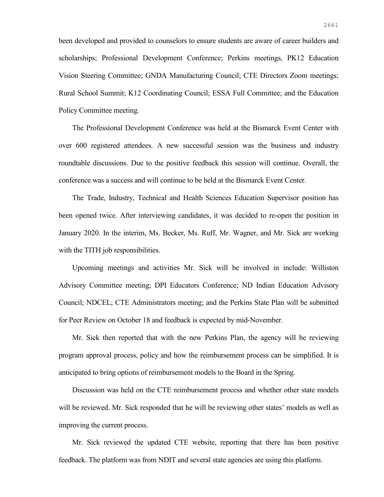been developed and provided to counselors to ensure students are aware of career builders and scholarships; Professional Development Conference; Perkins meetings, PK12 Education Vision Steering Committee; GNDA Manufacturing Council; CTE Directors Zoom meetings; Rural School Summit; K12 Coordinating Council; ESSA Full Committee; and the Education Policy Committee meeting.

The Professional Development Conference was held at the Bismarck Event Center with over 600 registered attendees. A new successful session was the business and industry roundtable discussions. Due to the positive feedback this session will continue. Overall, the conference was a success and will continue to be held at the Bismarck Event Center.

The Trade, Industry, Technical and Health Sciences Education Supervisor position has been opened twice. After interviewing candidates, it was decided to re-open the position in January 2020. In the interim, Ms. Becker, Ms. Ruff, Mr. Wagner, and Mr. Sick are working with the TITH job responsibilities.

Upcoming meetings and activities Mr. Sick will be involved in include: Williston Advisory Committee meeting; DPI Educators Conference; ND Indian Education Advisory Council; NDCEL; CTE Administrators meeting; and the Perkins State Plan will be submitted for Peer Review on October 18 and feedback is expected by mid-November.

Mr. Sick then reported that with the new Perkins Plan, the agency will be reviewing program approval process, policy and how the reimbursement process can be simplified. It is anticipated to bring options of reimbursement models to the Board in the Spring.

Discussion was held on the CTE reimbursement process and whether other state models will be reviewed. Mr. Sick responded that he will be reviewing other states' models as well as improving the current process.

Mr. Sick reviewed the updated CTE website, reporting that there has been positive feedback. The platform was from NDIT and several state agencies are using this platform.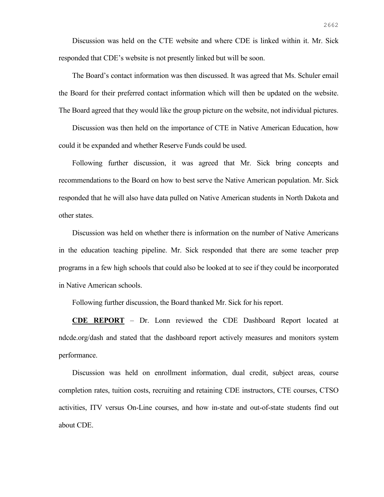Discussion was held on the CTE website and where CDE is linked within it. Mr. Sick responded that CDE's website is not presently linked but will be soon.

The Board's contact information was then discussed. It was agreed that Ms. Schuler email the Board for their preferred contact information which will then be updated on the website. The Board agreed that they would like the group picture on the website, not individual pictures.

Discussion was then held on the importance of CTE in Native American Education, how could it be expanded and whether Reserve Funds could be used.

Following further discussion, it was agreed that Mr. Sick bring concepts and recommendations to the Board on how to best serve the Native American population. Mr. Sick responded that he will also have data pulled on Native American students in North Dakota and other states.

Discussion was held on whether there is information on the number of Native Americans in the education teaching pipeline. Mr. Sick responded that there are some teacher prep programs in a few high schools that could also be looked at to see if they could be incorporated in Native American schools.

Following further discussion, the Board thanked Mr. Sick for his report.

**CDE REPORT** – Dr. Lonn reviewed the CDE Dashboard Report located at ndcde.org/dash and stated that the dashboard report actively measures and monitors system performance.

Discussion was held on enrollment information, dual credit, subject areas, course completion rates, tuition costs, recruiting and retaining CDE instructors, CTE courses, CTSO activities, ITV versus On-Line courses, and how in-state and out-of-state students find out about CDE.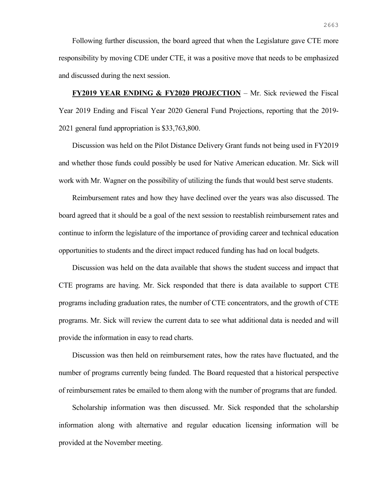Following further discussion, the board agreed that when the Legislature gave CTE more responsibility by moving CDE under CTE, it was a positive move that needs to be emphasized and discussed during the next session.

**FY2019 YEAR ENDING & FY2020 PROJECTION** – Mr. Sick reviewed the Fiscal Year 2019 Ending and Fiscal Year 2020 General Fund Projections, reporting that the 2019- 2021 general fund appropriation is \$33,763,800.

Discussion was held on the Pilot Distance Delivery Grant funds not being used in FY2019 and whether those funds could possibly be used for Native American education. Mr. Sick will work with Mr. Wagner on the possibility of utilizing the funds that would best serve students.

Reimbursement rates and how they have declined over the years was also discussed. The board agreed that it should be a goal of the next session to reestablish reimbursement rates and continue to inform the legislature of the importance of providing career and technical education opportunities to students and the direct impact reduced funding has had on local budgets.

Discussion was held on the data available that shows the student success and impact that CTE programs are having. Mr. Sick responded that there is data available to support CTE programs including graduation rates, the number of CTE concentrators, and the growth of CTE programs. Mr. Sick will review the current data to see what additional data is needed and will provide the information in easy to read charts.

Discussion was then held on reimbursement rates, how the rates have fluctuated, and the number of programs currently being funded. The Board requested that a historical perspective of reimbursement rates be emailed to them along with the number of programs that are funded.

Scholarship information was then discussed. Mr. Sick responded that the scholarship information along with alternative and regular education licensing information will be provided at the November meeting.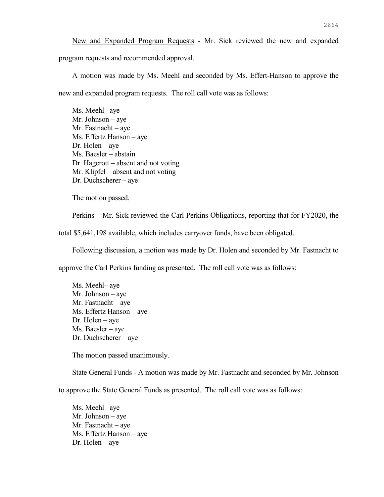New and Expanded Program Requests - Mr. Sick reviewed the new and expanded program requests and recommended approval.

A motion was made by Ms. Meehl and seconded by Ms. Effert-Hanson to approve the new and expanded program requests. The roll call vote was as follows:

Ms. Meehl– aye Mr. Johnson – aye Mr. Fastnacht – aye Ms. Effertz Hanson – aye Dr. Holen – aye Ms. Baesler – abstain Dr. Hagerott – absent and not voting Mr. Klipfel – absent and not voting Dr. Duchscherer – aye

The motion passed.

Perkins – Mr. Sick reviewed the Carl Perkins Obligations, reporting that for FY2020, the

total \$5,641,198 available, which includes carryover funds, have been obligated.

Following discussion, a motion was made by Dr. Holen and seconded by Mr. Fastnacht to

approve the Carl Perkins funding as presented. The roll call vote was as follows:

Ms. Meehl– aye Mr. Johnson – aye Mr. Fastnacht – aye Ms. Effertz Hanson – aye Dr. Holen – aye Ms. Baesler – aye Dr. Duchscherer – aye

The motion passed unanimously.

State General Funds - A motion was made by Mr. Fastnacht and seconded by Mr. Johnson

to approve the State General Funds as presented. The roll call vote was as follows:

Ms. Meehl– aye Mr. Johnson – aye Mr. Fastnacht – aye Ms. Effertz Hanson – aye Dr. Holen – aye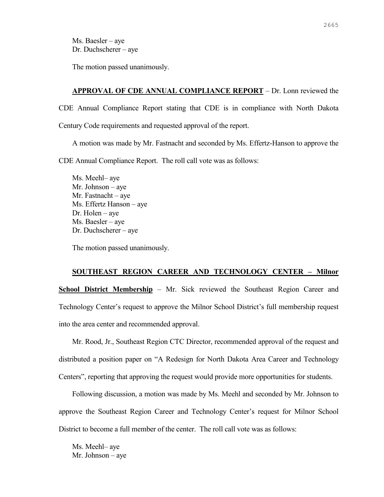Ms. Baesler – aye Dr. Duchscherer – aye

The motion passed unanimously.

### **APPROVAL OF CDE ANNUAL COMPLIANCE REPORT** – Dr. Lonn reviewed the

CDE Annual Compliance Report stating that CDE is in compliance with North Dakota Century Code requirements and requested approval of the report.

A motion was made by Mr. Fastnacht and seconded by Ms. Effertz-Hanson to approve the CDE Annual Compliance Report. The roll call vote was as follows:

Ms. Meehl– aye Mr. Johnson – aye Mr. Fastnacht – aye Ms. Effertz Hanson – aye Dr. Holen – aye Ms. Baesler – aye Dr. Duchscherer – aye

The motion passed unanimously.

### **SOUTHEAST REGION CAREER AND TECHNOLOGY CENTER – Milnor**

**<u>School District Membership</u>** – Mr. Sick reviewed the Southeast Region Career and Technology Center's request to approve the Milnor School District's full membership request into the area center and recommended approval.

Mr. Rood, Jr., Southeast Region CTC Director, recommended approval of the request and distributed a position paper on "A Redesign for North Dakota Area Career and Technology Centers", reporting that approving the request would provide more opportunities for students.

Following discussion, a motion was made by Ms. Meehl and seconded by Mr. Johnson to approve the Southeast Region Career and Technology Center's request for Milnor School District to become a full member of the center. The roll call vote was as follows:

Ms. Meehl– aye Mr. Johnson – aye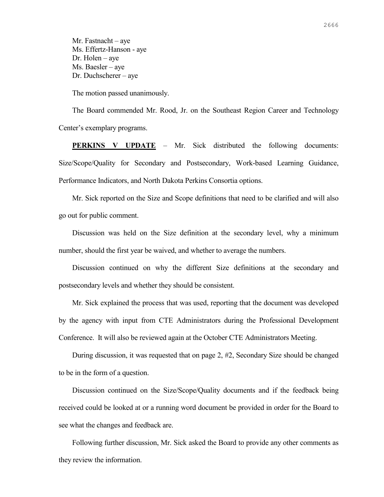Mr. Fastnacht – aye Ms. Effertz-Hanson - aye Dr. Holen – aye Ms. Baesler – aye Dr. Duchscherer – aye

The motion passed unanimously.

The Board commended Mr. Rood, Jr. on the Southeast Region Career and Technology Center's exemplary programs.

**PERKINS V UPDATE** – Mr. Sick distributed the following documents: Size/Scope/Quality for Secondary and Postsecondary, Work-based Learning Guidance, Performance Indicators, and North Dakota Perkins Consortia options.

Mr. Sick reported on the Size and Scope definitions that need to be clarified and will also go out for public comment.

Discussion was held on the Size definition at the secondary level, why a minimum number, should the first year be waived, and whether to average the numbers.

Discussion continued on why the different Size definitions at the secondary and postsecondary levels and whether they should be consistent.

Mr. Sick explained the process that was used, reporting that the document was developed by the agency with input from CTE Administrators during the Professional Development Conference. It will also be reviewed again at the October CTE Administrators Meeting.

During discussion, it was requested that on page 2, #2, Secondary Size should be changed to be in the form of a question.

Discussion continued on the Size/Scope/Quality documents and if the feedback being received could be looked at or a running word document be provided in order for the Board to see what the changes and feedback are.

Following further discussion, Mr. Sick asked the Board to provide any other comments as they review the information.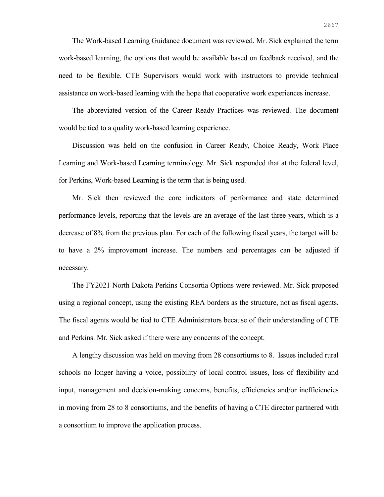The Work-based Learning Guidance document was reviewed. Mr. Sick explained the term work-based learning, the options that would be available based on feedback received, and the need to be flexible. CTE Supervisors would work with instructors to provide technical assistance on work-based learning with the hope that cooperative work experiences increase.

The abbreviated version of the Career Ready Practices was reviewed. The document would be tied to a quality work-based learning experience.

Discussion was held on the confusion in Career Ready, Choice Ready, Work Place Learning and Work-based Learning terminology. Mr. Sick responded that at the federal level, for Perkins, Work-based Learning is the term that is being used.

Mr. Sick then reviewed the core indicators of performance and state determined performance levels, reporting that the levels are an average of the last three years, which is a decrease of 8% from the previous plan. For each of the following fiscal years, the target will be to have a 2% improvement increase. The numbers and percentages can be adjusted if necessary.

The FY2021 North Dakota Perkins Consortia Options were reviewed. Mr. Sick proposed using a regional concept, using the existing REA borders as the structure, not as fiscal agents. The fiscal agents would be tied to CTE Administrators because of their understanding of CTE and Perkins. Mr. Sick asked if there were any concerns of the concept.

A lengthy discussion was held on moving from 28 consortiums to 8. Issues included rural schools no longer having a voice, possibility of local control issues, loss of flexibility and input, management and decision-making concerns, benefits, efficiencies and/or inefficiencies in moving from 28 to 8 consortiums, and the benefits of having a CTE director partnered with a consortium to improve the application process.